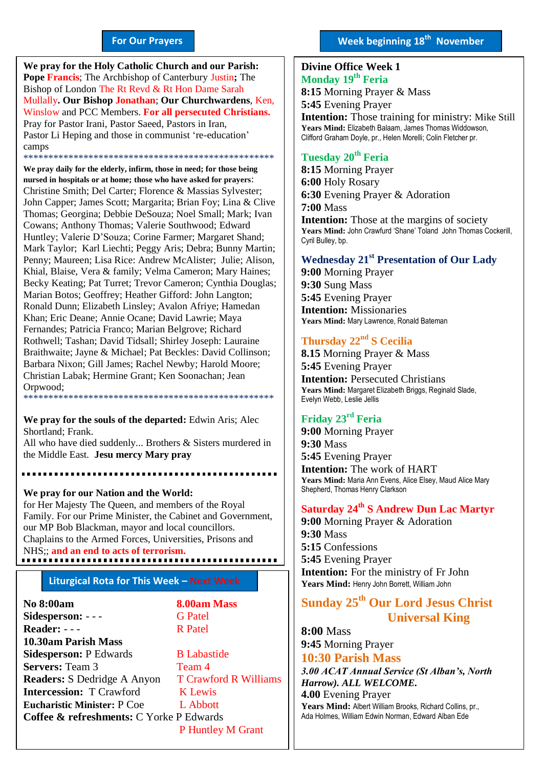#### **For Our Prayers**

arted Mullally**. Our Bishop Jonathan**; **Our Churchwardens**, Ken, **We pray for the Holy Catholic Church and our Parish: Pope Francis**; The Archbishop of Canterbury Justin**;** The Bishop of London The Rt Revd & Rt Hon Dame Sarah Winslow and PCC Members. **For all persecuted Christians.** Pray for Pastor Irani, Pastor Saeed, Pastors in Iran, Pastor Li Heping and those in communist 're-education' camps \*\*\*\*\*\*\*\*\*\*\*\*\*\*\*\*\*\*\*\*\*\*\*\*\*\*\*\*\*\*\*\*\*\*\*\*\*\*\*\*\*\*\*\*\*\*\*\*\*\*

**We pray daily for the elderly, infirm, those in need; for those being nursed in hospitals or at home; those who have asked for prayers**: Christine Smith; Del Carter; Florence & Massias Sylvester; John Capper; James Scott; Margarita; Brian Foy; Lina & Clive Thomas; Georgina; Debbie DeSouza; Noel Small; Mark; Ivan Cowans; Anthony Thomas; Valerie Southwood; Edward Huntley; Valerie D'Souza; Corine Farmer; Margaret Shand; Mark Taylor; Karl Liechti; Peggy Aris; Debra; Bunny Martin; Penny; Maureen; Lisa Rice: Andrew McAlister; Julie; Alison, Khial, Blaise, Vera & family; Velma Cameron; Mary Haines; Becky Keating; Pat Turret; Trevor Cameron; Cynthia Douglas; Marian Botos; Geoffrey; Heather Gifford: John Langton; Ronald Dunn; Elizabeth Linsley; Avalon Afriye; Hamedan Khan; Eric Deane; Annie Ocane; David Lawrie; Maya Fernandes; Patricia Franco; Marian Belgrove; Richard Rothwell; Tashan; David Tidsall; Shirley Joseph: Lauraine Braithwaite; Jayne & Michael; Pat Beckles: David Collinson; Barbara Nixon; Gill James; Rachel Newby; Harold Moore; Christian Labak; Hermine Grant; Ken Soonachan; Jean Orpwood; \*\*\*\*\*\*\*\*\*\*\*\*\*\*\*\*\*\*\*\*\*\*\*\*\*\*\*\*\*\*\*\*\*\*\*\*\*\*\*\*\*\*\*\*\*\*\*\*\*\*

**We pray for the souls of the departed:** Edwin Aris; Alec Shortland; Frank.

All who have died suddenly... Brothers & Sisters murdered in the Middle East. **Jesu mercy Mary pray**

**We pray for our Nation and the World:** for Her Majesty The Queen, and members of the Royal Family. For our Prime Minister, the Cabinet and Government, our MP Bob Blackman, mayor and local councillors. Chaplains to the Armed Forces, Universities, Prisons and NHS;; **and an end to acts of terrorism.**

#### **Liturgical Rota for This Week – Next Week**

**No 8:00am 8.00am Mass Sidesperson:** - - - G Patel Reader: - - - R Patel **10.30am Parish Mass Sidesperson:** P Edwards B Labastide **Servers:** Team 3 Team 4 **Readers:** S Dedridge A Anyon T Crawford R Williams **Intercession:** T Crawford K Lewis **Eucharistic Minister:** P Coe L Abbott **Coffee & refreshments:** C Yorke P Edwards P Huntley M Grant

#### **Divine Office Week 1 Monday 19 th Feria 2018**

**8:15** Morning Prayer & Mass **5:45** Evening Prayer **Intention:** Those training for ministry: Mike Still **Years Mind:** Elizabeth Balaam, James Thomas Widdowson, Clifford Graham Doyle, pr., Helen Morelli; Colin Fletcher pr.

### **Tuesday 20th Feria**

**8:15** Morning Prayer **6:00** Holy Rosary **6:30** Evening Prayer & Adoration **7:00** Mass **Intention:** Those at the margins of society **Years Mind:** John Crawfurd 'Shane' Toland John Thomas Cockerill, Cyril Bulley, bp.

#### **Wednesday 21st Presentation of Our Lady**

**9:00** Morning Prayer **9:30** Sung Mass **5:45** Evening Prayer **Intention:** Missionaries **Years Mind:** Mary Lawrence, Ronald Bateman

#### **Thursday 22nd S Cecilia**

**8.15** Morning Prayer & Mass **5:45** Evening Prayer **Intention:** Persecuted Christians **Years Mind:** Margaret Elizabeth Briggs, Reginald Slade, Evelyn Webb, Leslie Jellis

#### **Friday 23rd Feria**

**9:00** Morning Prayer **9:30** Mass **5:45** Evening Prayer **Intention:** The work of HART **Years Mind:** Maria Ann Evens, Alice Elsey, Maud Alice Mary Shepherd, Thomas Henry Clarkson

#### **Saturday 24th S Andrew Dun Lac Martyr**

**9:00** Morning Prayer & Adoration **9:30** Mass **5:15** Confessions **5:45** Evening Prayer **Intention:** For the ministry of Fr John **Years Mind:** Henry John Borrett, William John

#### **Sunday 25th Our Lord Jesus Christ Universal King**

**8:00** Mass **9:45** Morning Prayer

#### **10:30 Parish Mass**

*3.00 ACAT Annual Service (St Alban's, North Harrow). ALL WELCOME.*

**4.00** Evening Prayer Years Mind: Albert William Brooks, Richard Collins, pr., Ada Holmes, William Edwin Norman, Edward Alban Ede